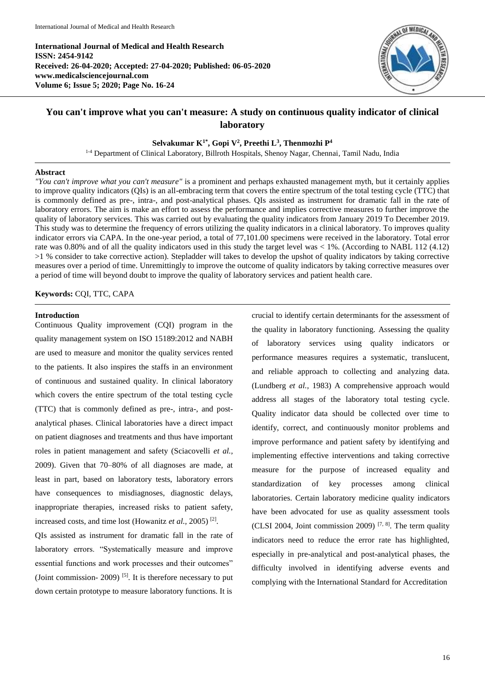**International Journal of Medical and Health Research ISSN: 2454-9142 Received: 26-04-2020; Accepted: 27-04-2020; Published: 06-05-2020 www.medicalsciencejournal.com Volume 6; Issue 5; 2020; Page No. 16-24**



# **You can't improve what you can't measure: A study on continuous quality indicator of clinical laboratory**

## **Selvakumar K1\* , Gopi V<sup>2</sup> , Preethi L<sup>3</sup> , Thenmozhi P<sup>4</sup>**

1-4 Department of Clinical Laboratory, Billroth Hospitals, Shenoy Nagar, Chennai, Tamil Nadu, India

## **Abstract**

*"You can't improve what you can't measure"* is a prominent and perhaps exhausted management myth, but it certainly applies to improve quality indicators (QIs) is an all-embracing term that covers the entire spectrum of the total testing cycle (TTC) that is commonly defined as pre-, intra-, and post-analytical phases. QIs assisted as instrument for dramatic fall in the rate of laboratory errors. The aim is make an effort to assess the performance and implies corrective measures to further improve the quality of laboratory services. This was carried out by evaluating the quality indicators from January 2019 To December 2019. This study was to determine the frequency of errors utilizing the quality indicators in a clinical laboratory. To improves quality indicator errors via CAPA. In the one-year period, a total of 77,101.00 specimens were received in the laboratory. Total error rate was 0.80% and of all the quality indicators used in this study the target level was < 1%. (According to NABL 112 (4.12) >1 % consider to take corrective action). Stepladder will takes to develop the upshot of quality indicators by taking corrective measures over a period of time. Unremittingly to improve the outcome of quality indicators by taking corrective measures over a period of time will beyond doubt to improve the quality of laboratory services and patient health care.

### **Keywords:** CQI, TTC, CAPA

#### **Introduction**

Continuous Quality improvement (CQI) program in the quality management system on ISO 15189:2012 and NABH are used to measure and monitor the quality services rented to the patients. It also inspires the staffs in an environment of continuous and sustained quality. In clinical laboratory which covers the entire spectrum of the total testing cycle (TTC) that is commonly defined as pre-, intra-, and postanalytical phases. Clinical laboratories have a direct impact on patient diagnoses and treatments and thus have important roles in patient management and safety (Sciacovelli *et al.,* 2009). Given that 70–80% of all diagnoses are made, at least in part, based on laboratory tests, laboratory errors have consequences to misdiagnoses, diagnostic delays, inappropriate therapies, increased risks to patient safety, increased costs, and time lost (Howanitz *et al.,* 2005) [2] .

QIs assisted as instrument for dramatic fall in the rate of laboratory errors. "Systematically measure and improve essential functions and work processes and their outcomes" (Joint commission- 2009)  $[5]$ . It is therefore necessary to put down certain prototype to measure laboratory functions. It is

crucial to identify certain determinants for the assessment of the quality in laboratory functioning. Assessing the quality of laboratory services using quality indicators or performance measures requires a systematic, translucent, and reliable approach to collecting and analyzing data. (Lundberg *et al.,* 1983) A comprehensive approach would address all stages of the laboratory total testing cycle. Quality indicator data should be collected over time to identify, correct, and continuously monitor problems and improve performance and patient safety by identifying and implementing effective interventions and taking corrective measure for the purpose of increased equality and standardization of key processes among clinical laboratories. Certain laboratory medicine quality indicators have been advocated for use as quality assessment tools (CLSI 2004, Joint commission 2009)<sup>[7, 8]</sup>. The term quality indicators need to reduce the error rate has highlighted, especially in pre-analytical and post-analytical phases, the difficulty involved in identifying adverse events and complying with the International Standard for Accreditation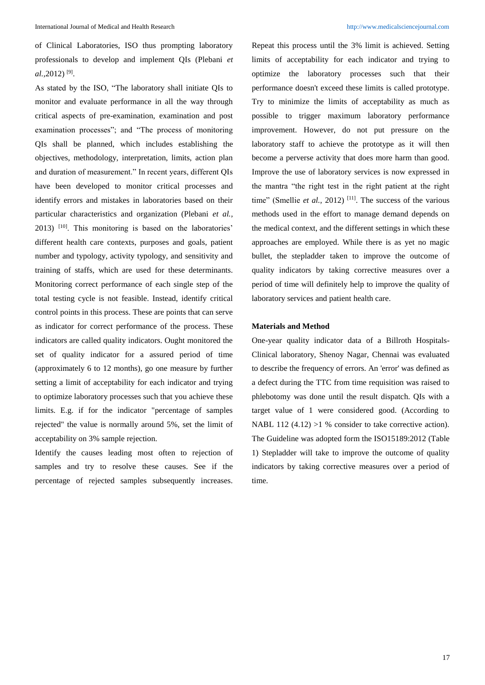of Clinical Laboratories, ISO thus prompting laboratory professionals to develop and implement QIs (Plebani *et al.,*2012) [9] .

As stated by the ISO, "The laboratory shall initiate QIs to monitor and evaluate performance in all the way through critical aspects of pre-examination, examination and post examination processes"; and "The process of monitoring QIs shall be planned, which includes establishing the objectives, methodology, interpretation, limits, action plan and duration of measurement." In recent years, different QIs have been developed to monitor critical processes and identify errors and mistakes in laboratories based on their particular characteristics and organization (Plebani *et al.,* 2013) [10]. This monitoring is based on the laboratories' different health care contexts, purposes and goals, patient number and typology, activity typology, and sensitivity and training of staffs, which are used for these determinants. Monitoring correct performance of each single step of the total testing cycle is not feasible. Instead, identify critical control points in this process. These are points that can serve as indicator for correct performance of the process. These indicators are called quality indicators. Ought monitored the set of quality indicator for a assured period of time (approximately 6 to 12 months), go one measure by further setting a limit of acceptability for each indicator and trying to optimize laboratory processes such that you achieve these limits. E.g. if for the indicator "percentage of samples rejected" the value is normally around 5%, set the limit of acceptability on 3% sample rejection.

Identify the causes leading most often to rejection of samples and try to resolve these causes. See if the percentage of rejected samples subsequently increases. Repeat this process until the 3% limit is achieved. Setting limits of acceptability for each indicator and trying to optimize the laboratory processes such that their performance doesn't exceed these limits is called prototype. Try to minimize the limits of acceptability as much as possible to trigger maximum laboratory performance improvement. However, do not put pressure on the laboratory staff to achieve the prototype as it will then become a perverse activity that does more harm than good. Improve the use of laboratory services is now expressed in the mantra "the right test in the right patient at the right time" (Smellie *et al.*, 2012)<sup>[11]</sup>. The success of the various methods used in the effort to manage demand depends on the medical context, and the different settings in which these approaches are employed. While there is as yet no magic bullet, the stepladder taken to improve the outcome of quality indicators by taking corrective measures over a period of time will definitely help to improve the quality of laboratory services and patient health care.

## **Materials and Method**

One-year quality indicator data of a Billroth Hospitals-Clinical laboratory, Shenoy Nagar, Chennai was evaluated to describe the frequency of errors. An 'error' was defined as a defect during the TTC from time requisition was raised to phlebotomy was done until the result dispatch. QIs with a target value of 1 were considered good. (According to NABL 112 (4.12) >1 % consider to take corrective action). The Guideline was adopted form the ISO15189:2012 (Table 1) Stepladder will take to improve the outcome of quality indicators by taking corrective measures over a period of time.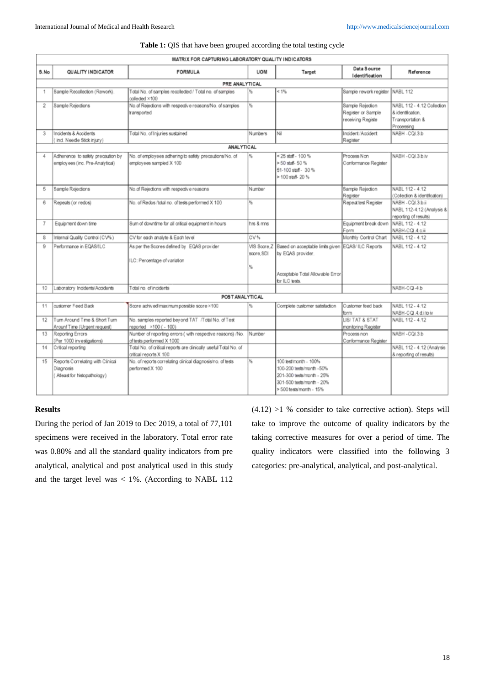|                |                                                                                | MATRIX FOR CAPTURING LABORATORY QUALITY INDICATORS                                         |                |                                                                                                                                       |                                                             |                                                                                   |
|----------------|--------------------------------------------------------------------------------|--------------------------------------------------------------------------------------------|----------------|---------------------------------------------------------------------------------------------------------------------------------------|-------------------------------------------------------------|-----------------------------------------------------------------------------------|
| S.No           | QUALITY INDICATOR                                                              | <b>FORMULA</b>                                                                             | <b>UOM</b>     | Target                                                                                                                                | Data Source<br>Identification                               | Reference                                                                         |
|                |                                                                                | PRE ANALYTICAL                                                                             |                |                                                                                                                                       |                                                             |                                                                                   |
| 1              | Sample Recollection (Rework).                                                  | Total No. of samples recollected / Total no. of samples<br>collected ×100                  | %              | $< 1\%$                                                                                                                               | Sample rework register                                      | NABL 112                                                                          |
| 2              | Sample Reiedions                                                               | No.of Rejections with respective reasons/No. of samples<br>transported                     | $\mathbf{e}_h$ |                                                                                                                                       | Sample Rejection<br>Register or Sample<br>receiving Registe | NABL 112 - 4.12 Collection<br>& identification.<br>Transportation &<br>Processing |
| 3              | Incidents & Accidents<br>(ind. Needle Stick injury)                            | Total No. of Injuries sustained                                                            | <b>Numbers</b> | Nil                                                                                                                                   | Incident / Accident<br>Register                             | NABH - CQI.3.b                                                                    |
|                |                                                                                | <b>ANALYTICAL</b>                                                                          |                |                                                                                                                                       |                                                             |                                                                                   |
| 4              | Adherence to safety precaution by<br>employees (inc. Pre-Analytical)           | No. of employees adhering to safety precautions/No. of<br>employees sampled X 100          |                | <25 staff - 100 %<br>>50 staff-50 %<br>51-100 staff - 30 %<br>> 100 staff-20 %                                                        | Process Non<br>Conformance Register                         | NABH - COL3 b iv                                                                  |
| 5              | Sample Rejections                                                              | No.of Rejections with respective reasons                                                   | Number         |                                                                                                                                       | Sample Rejection<br>Register                                | NABL 112 - 4.12<br>(Collection & identification)                                  |
| 6              | Repeats (or redos)                                                             | No. of Redos /total no. of tests performed X 100                                           | 鲇              |                                                                                                                                       | Repeat test Register                                        | NABH - CQL3 b ii<br>NABL 112-4.12 (Analysis &<br>reporting of results)            |
| $\overline{7}$ | Equipment down time                                                            | Sum of downtime for all critical equipment in hours                                        | hrs & mns      |                                                                                                                                       | Equipment break down<br>Form                                | NABL 112 - 4.12<br>NABH-CQI.4.ciii                                                |
| 8              | Internal Quality Control (CV%)                                                 | CV for each analyte & Each level                                                           | CV%            |                                                                                                                                       | Monthly Control Chart                                       | NABL 112 - 4.12                                                                   |
| $\Omega$       | Performance in EQAS/ILC                                                        | As per the Scores defined by EQAS provider<br>ILC: Percentage of variation                 | score. SDI     | VIS Score Z Based on acceptable limits given EQAS/ ILC Reports<br>by EQAS provider.                                                   |                                                             | NABL 112 - 4.12                                                                   |
|                |                                                                                |                                                                                            | ٩,             | Acceptable Total Allowable Error<br>for ILC tests.                                                                                    |                                                             |                                                                                   |
| 10             | Laboratory Incidents/Accidents                                                 | Total no. of incidents                                                                     |                |                                                                                                                                       |                                                             | NABH-CQI-4.b                                                                      |
|                |                                                                                | POST AN ALYTICAL                                                                           |                |                                                                                                                                       |                                                             |                                                                                   |
| 11             | customer Feed Back                                                             | Score achived/maximum possible score ×100                                                  | ٩,             | Complete customer satisfaction                                                                                                        | Customer feed back<br>form.                                 | NABL 112 - 4.12<br>NABH-CQL4.d.itoiv                                              |
| 12             | Turn Around Time & Short Turn<br>Arounf Time (Urgent request)                  | No. samples reported beyond TAT /Total No. of Test<br>reported ×100 (- 100)                |                |                                                                                                                                       | LIS/ TAT & STAT<br>monitoring Register                      | NABL 112 - 4.12                                                                   |
| 13             | Reporting Errors<br>(Per 1000 investigations)                                  | Number of reporting errors (with respective reasons) /No.<br>of tests performed X 1000     | Number         |                                                                                                                                       | Process non<br>Conformance Register                         | NABH - CQI.3.b                                                                    |
| 14             | Critical reporting                                                             | Total No. of critical reports are clinically useful/Total No. of<br>critical reports X 100 |                |                                                                                                                                       |                                                             | NABL 112 - 4.12 (Analysis<br>& reporting of results)                              |
| 15             | Reports Correlating with Clinical<br>Diagnosis<br>(Atleast for histopathology) | No. of reports correlating clinical diagnosis/no. of tests<br>performed X 100              | %              | 100 test/month - 100%<br>100-200 tests/month -50%<br>201-300 tests/month - 25%<br>301-500 tests/month - 20%<br>>500 tests/month - 15% |                                                             |                                                                                   |

#### Table 1: QIS that have been grouped according the total testing cycle

## **Results**

During the period of Jan 2019 to Dec 2019, a total of 77,101 specimens were received in the laboratory. Total error rate was 0.80% and all the standard quality indicators from pre analytical, analytical and post analytical used in this study and the target level was < 1%. (According to NABL 112  $(4.12)$  >1 % consider to take corrective action). Steps will take to improve the outcome of quality indicators by the taking corrective measures for over a period of time. The quality indicators were classified into the following 3 categories: pre-analytical, analytical, and post-analytical.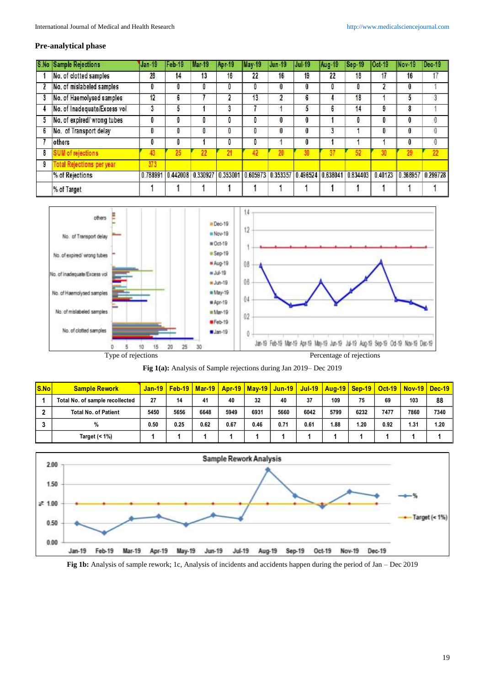## **Pre-analytical phase**

|   | <b>S.No Sample Rejections</b>    | $Jan-19$ | Feb-19   | Mar-19   | Apr-19   | May-19   | Jun-19 | IJul-19                                     | Aug-19 | Sep-19 | l Oct-19 | Nov-19   | Dec-19   |
|---|----------------------------------|----------|----------|----------|----------|----------|--------|---------------------------------------------|--------|--------|----------|----------|----------|
|   | No. of clotted samples           | 28       | 14       | 13       | 16       | 22       | 16     | 19                                          | 22     | 18     | 17       | 16       | 17       |
|   | No. of mislabeled samples        | IJ       | 0        | O        |          | 0        | 0      |                                             | Ð      | 0      |          | 0        |          |
| 3 | No. of Haemolysed samples        | 12       | 6        |          |          | 13       | 2      | 6                                           |        | 18     |          | 5        |          |
| 4 | No. of Inadequate/Excess vol     | 3        | 5        |          | J        |          |        |                                             | 6      | 14     | 9        | 8        |          |
| 5 | No. of expired/wrong tubes       | 0        |          | 0        | U        | 0        | 0      | 0                                           |        | 0      | 0        | 0        | 0        |
| 6 | No. of Transport delay           | 0        | 0        | 0        | U        | 0        | 0      | 0                                           | 3      |        | 0        | 0        | 0        |
|   | others                           | U        |          |          |          | 0        |        |                                             |        |        |          | 0        | 0        |
| 8 | <b>SUM of rejections</b>         | 43       | 25       | 22       |          | 42       |        |                                             | 37     | 52     |          | 29       | 22       |
| 9 | <b>Total Rejections per year</b> | 373      |          |          |          |          |        |                                             |        |        |          |          |          |
|   | % of Rejections                  | 0.788991 | 0.442008 | 0.330927 | 0.353001 | 0.605973 |        | 0.353357 0.496524 0.638041 0.834403 0.40123 |        |        |          | 0.368957 | 0.299728 |
|   | % of Target                      |          |          |          |          |          |        |                                             |        |        |          |          |          |



|  | <b>Fig 1(a):</b> Analysis of Sample rejections during Jan 2019– Dec 2019 |
|--|--------------------------------------------------------------------------|
|  |                                                                          |

| S.No | <b>Sample Rework</b>            |      |      |      |      |      |      |      | <u>Jan-19   Feb-19   Mar-19   Apr-19   May-19   Jun-19   Jul-19   Aug-19   Sep-19   Oct-19   Nov-19   Dec-19</u> |      |      |      |      |
|------|---------------------------------|------|------|------|------|------|------|------|------------------------------------------------------------------------------------------------------------------|------|------|------|------|
|      | Total No. of sample recollected | 27   | 14   | 41   | 40   | 32   | 40   | 37   | 109                                                                                                              | 75   | 69   | 103  | 88   |
|      | <b>Total No. of Patient</b>     | 5450 | 5656 | 6648 | 5949 | 6931 | 5660 | 6042 | 5799                                                                                                             | 6232 | 7477 | 7860 | 7340 |
|      | %                               | 0.50 | 0.25 | 0.62 | 0.67 | 0.46 | 0.71 | 0.61 | 1.88                                                                                                             | 1.20 | 0.92 | 1.31 | 1.20 |
|      | Target $($ < 1% $)$             |      |      |      |      |      |      |      |                                                                                                                  |      |      |      |      |



**Fig 1b:** Analysis of sample rework; 1c, Analysis of incidents and accidents happen during the period of Jan – Dec 2019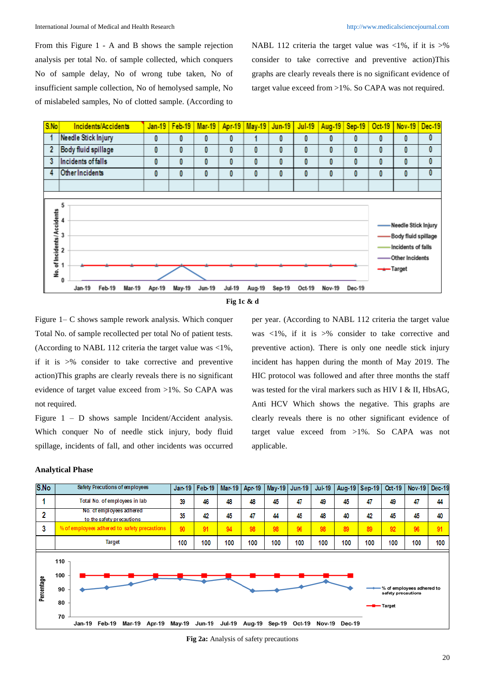From this Figure 1 - A and B shows the sample rejection analysis per total No. of sample collected, which conquers No of sample delay, No of wrong tube taken, No of insufficient sample collection, No of hemolysed sample, No of mislabeled samples, No of clotted sample. (According to

NABL 112 criteria the target value was  $\langle 1\% \rangle$ , if it is  $>$ % consider to take corrective and preventive action)This graphs are clearly reveals there is no significant evidence of target value exceed from >1%. So CAPA was not required.

per year. (According to NABL 112 criteria the target value was <1%, if it is >% consider to take corrective and preventive action). There is only one needle stick injury incident has happen during the month of May 2019. The HIC protocol was followed and after three months the staff was tested for the viral markers such as HIV I & II, HbsAG, Anti HCV Which shows the negative. This graphs are clearly reveals there is no other significant evidence of target value exceed from >1%. So CAPA was not





Figure 1– C shows sample rework analysis. Which conquer Total No. of sample recollected per total No of patient tests. (According to NABL 112 criteria the target value was <1%, if it is >% consider to take corrective and preventive action)This graphs are clearly reveals there is no significant evidence of target value exceed from >1%. So CAPA was not required.

Figure 1 – D shows sample Incident/Accident analysis. Which conquer No of needle stick injury, body fluid spillage, incidents of fall, and other incidents was occurred

#### **Analytical Phase**



applicable.

**Fig 2a:** Analysis of safety precautions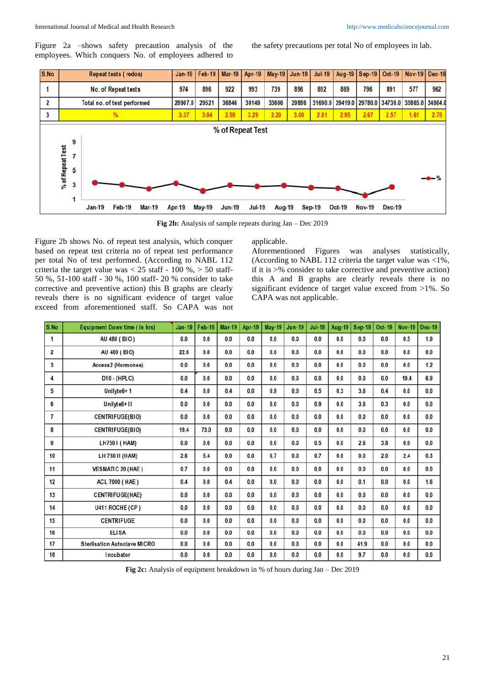Figure 2a –shows safety precaution analysis of the employees. Which conquers No. of employees adhered to

the safety precautions per total No of employees in lab.



**Fig 2b:** Analysis of sample repeats during Jan – Dec 2019

Figure 2b shows No. of repeat test analysis, which conquer based on repeat test criteria no of repeat test performance per total No of test performed. (According to NABL 112 criteria the target value was  $< 25$  staff - 100 %,  $> 50$  staff-50 %, 51-100 staff - 30 %, 100 staff- 20 % consider to take corrective and preventive action) this B graphs are clearly reveals there is no significant evidence of target value exceed from aforementioned staff. So CAPA was not applicable.

Aforementioned Figures was analyses statistically, (According to NABL 112 criteria the target value was <1%, if it is >% consider to take corrective and preventive action) this A and B graphs are clearly reveals there is no significant evidence of target value exceed from >1%. So CAPA was not applicable.

| S.No                     | <b>Equipment Down time (in hrs)</b> | <b>Jan-19</b> | <b>Feb-19</b> | <b>Mar-19</b> | Apr-19 | <b>May-19</b> | <b>Jun-19</b> | <b>Jul-19</b> | Aug-19 | <b>Sep-19</b> | Oct-19 | <b>Nov-19</b> | <b>Dec-19</b> |
|--------------------------|-------------------------------------|---------------|---------------|---------------|--------|---------------|---------------|---------------|--------|---------------|--------|---------------|---------------|
| 1                        | AU 480 (BIO)                        | 0.0           | 0.0           | 0.0           | 0.0    | 0.0           | 0.0           | 0.0           | 0.0    | 0.0           | 0.0    | 0.5           | 1.9           |
| $\overline{2}$           | AU 400 (BIO)                        | 22.6          | 0.0           | 0.0           | 0.0    | 0.0           | 0.0           | 0.0           | 0.0    | 0.0           | 0.0    | 0.0           | 0.0           |
| 3                        | Access2 (Hormones)                  | 0.0           | 0.0           | 0.0           | 0.0    | 0.0           | 0.0           | 0.0           | 0.0    | 0.0           | 0.0    | 0.0           | 1.2           |
| 4                        | $D10 - (HPLC)$                      | 0.0           | 0.0           | 0.0           | 0.0    | 0.0           | 0.0           | 0.0           | 0.0    | 0.0           | 0.0    | 19.4          | 6.9           |
| 5                        | Unilyte <sub>6+1</sub>              | 0.4           | 0.0           | 0.4           | 0.0    | 0.9           | 0.0           | 0.5           | 0.3    | 3.6           | 0.4    | 0.0           | 0.0           |
| 6                        | Unilyte6+11                         | 0.0           | 0.0           | 0.0           | 0.0    | 0.0           | 0.0           | 0.9           | 0.0    | 3.6           | 0.3    | 0.0           | 0.0           |
| $\overline{\phantom{a}}$ | <b>CENTRIFUGE(BIO)</b>              | 0.0           | 0.0           | 0.0           | 0.0    | 0.0           | 0.0           | 0.0           | 0.0    | 0.0           | 0.0    | 0.0           | 0.0           |
| 8                        | <b>CENTRIFUGE(BIO)</b>              | 19.4          | 73.0          | 0.0           | 0.0    | 0.0           | 0.0           | 0.0           | 0.0    | 0.0           | 0.0    | 0.0           | 0.0           |
| 9                        | LH750 I (HAM)                       | 0.0           | 0.0           | 0.0           | 0.0    | 0.0           | 0.0           | 0.5           | 0.0    | 2.6           | 3.8    | 0.0           | 0.0           |
| 10                       | LH 750 II (HAM)                     | 2.6           | 5.4           | 0.0           | 0.0    | 6.7           | 0.0           | 0.7           | 0.0    | 0.0           | 2.0    | 2.4           | 0.3           |
| 11                       | <b>VESMATIC 20 (HAE)</b>            | 0.7           | 0.0           | 0.0           | 0.0    | 0.0           | 0.0           | 0.0           | 0.0    | 0.0           | 0.0    | 0.0           | 0.0           |
| 12                       | <b>ACL 7000 (HAE)</b>               | 0.4           | 0.0           | 0.4           | 0.0    | 0.0           | 0.0           | 0.0           | 0.0    | 0.1           | 0.0    | 0.0           | 1.6           |
| 13                       | <b>CENTRIFUGE(HAE)</b>              | 0.0           | 0.0           | 0.0           | 0.0    | 0.0           | 0.0           | 0.0           | 0.0    | 0.0           | 0.0    | 0.0           | 0.0           |
| 14                       | U411 ROCHE (CP)                     | 0.0           | 0.0           | 0.0           | 0.0    | 0.0           | 0.0           | 0.0           | 0.0    | 0.0           | 0.0    | 0.0           | 0.0           |
| 15                       | <b>CENTRIFUGE</b>                   | 0.0           | 0.0           | 0.0           | 0.0    | 0.0           | 0.0           | 0.0           | 0.0    | 0.0           | 0.0    | 0.0           | 0.0           |
| 16                       | <b>ELISA</b>                        | 0.0           | 0.0           | 0.0           | 0.0    | 0.0           | 0.0           | 0.0           | 0.0    | 0.0           | 0.0    | 0.0           | 0.0           |
| 17                       | <b>Sterlisation Autoclave MICRO</b> | 0.0           | 0.0           | 0.0           | 0.0    | 0.0           | 0.0           | 0.0           | 0.0    | 41.9          | 0.0    | 0.0           | 0.0           |
| 18                       | Incubator                           | 0.0           | 0.0           | 0.0           | 0.0    | 0.0           | 0.0           | 0.0           | 0.0    | 9.7           | 0.0    | 0.0           | 0.0           |

**Fig 2c:** Analysis of equipment breakdown in % of hours during Jan – Dec 2019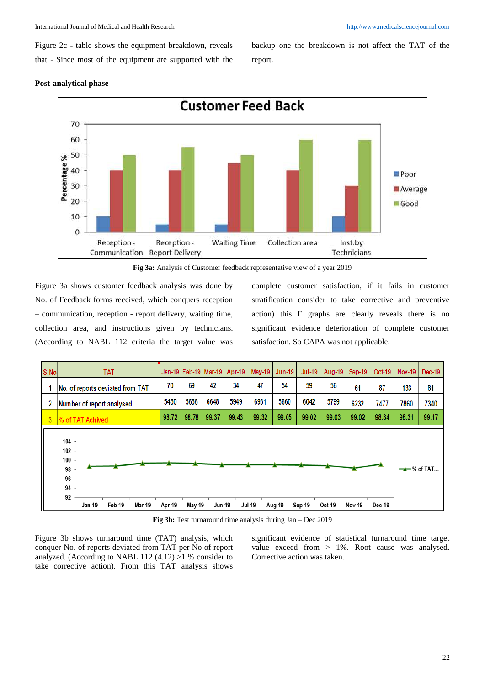Figure 2c - table shows the equipment breakdown, reveals that - Since most of the equipment are supported with the

backup one the breakdown is not affect the TAT of the report.

### **Post-analytical phase**



**Fig 3a:** Analysis of Customer feedback representative view of a year 2019

Figure 3a shows customer feedback analysis was done by No. of Feedback forms received, which conquers reception – communication, reception - report delivery, waiting time, collection area, and instructions given by technicians. (According to NABL 112 criteria the target value was complete customer satisfaction, if it fails in customer stratification consider to take corrective and preventive action) this F graphs are clearly reveals there is no significant evidence deterioration of complete customer satisfaction. So CAPA was not applicable.



**Fig 3b:** Test turnaround time analysis during Jan – Dec 2019

Figure 3b shows turnaround time (TAT) analysis, which conquer No. of reports deviated from TAT per No of report analyzed. (According to NABL 112  $(4.12) >1$  % consider to take corrective action). From this TAT analysis shows

significant evidence of statistical turnaround time target value exceed from > 1%. Root cause was analysed. Corrective action was taken.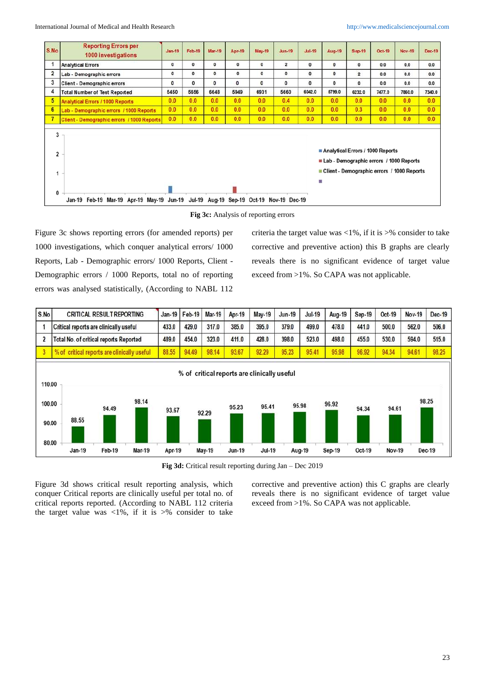International Journal of Medical and Health Research [http://www.medicalsciencejournal.com](http://www.medicalsciencejournal.com/)

| S.No                          | <b>Reporting Errors per</b><br>1000 investigations | $Jan-19$     | <b>Feb-19</b> | <b>Mar-19</b>                             | Apr-19       | May-19      | <b>Jun-19</b>  | <b>Jul-19</b> | <b>Aug-19</b>                                                                                                                   | <b>Sep-19</b>  | Oct-19 | <b>Nov-19</b> | Dec-19 |
|-------------------------------|----------------------------------------------------|--------------|---------------|-------------------------------------------|--------------|-------------|----------------|---------------|---------------------------------------------------------------------------------------------------------------------------------|----------------|--------|---------------|--------|
|                               | <b>Analytical Errors</b>                           | $\mathbf 0$  | $\mathbf{0}$  | 0                                         | $\mathbf{0}$ | $\mathbf 0$ | $\overline{2}$ | 0             | $\bf{0}$                                                                                                                        | $\mathbf{0}$   | 0.0    | 0.0           | 0.0    |
| $\overline{2}$                | Lab - Demographic errors                           | $\mathbf{0}$ | $\mathbf{0}$  | $\mathbf{0}$                              | $\mathbf 0$  | $\circ$     | 0              | $\mathbf{0}$  | $\mathbf 0$                                                                                                                     | $\overline{2}$ | 0.0    | 0.0           | 0,0    |
| 3                             | Client - Demographic errors                        | $\mathbf 0$  | $\mathbf{0}$  | $\bf{0}$                                  | $\mathbf{0}$ | $\bf{0}$    | $\mathbf{0}$   | $\mathbf{0}$  | 0                                                                                                                               | 0              | 0.0    | 0.0           | 0.0    |
| 4                             | <b>Total Number of Test Reported</b>               | 5450         | 5656          | 6648                                      | 5949         | 6931        | 5660           | 6042.0        | 5799.0                                                                                                                          | 6232.0         | 7477.0 | 7860.0        | 7340.0 |
| 5                             | <b>Analytical Errors / 1000 Reports</b>            | 0.0          | 0.0           | 0.0                                       | 0.0          | 0.0         | 0.4            | 0.0           | 0.0                                                                                                                             | 0.0            | 0.0    | 0.0           | 0.0    |
| 6                             | Lab - Demographic errors / 1000 Reports            | 0.0          | 0.0           | 0.0                                       | 0.0          | 0.0         | 0.0            | 0.0           | 0.0                                                                                                                             | 0.3            | 0.0    | 0.0           | 0.0    |
|                               | Client - Demographic errors / 1000 Reports         | 0.0          | 0.0           | 0.0                                       | 0.0          | 0.0         | 0.0            | 0.0           | 0.0                                                                                                                             | 0.0            | 0.0    | 0.0           | 0.0    |
| 3<br>$\overline{2}$<br>1<br>0 |                                                    |              |               |                                           |              |             |                |               | Analytical Errors / 1000 Reports<br>Lab - Demographic errors / 1000 Reports<br>Client - Demographic errors / 1000 Reports<br>H. |                |        |               |        |
|                               | Jan-19 Feb-19 Mar-19 Apr-19 May-19 Jun-19          |              |               | Jul-19 Aug-19 Sep-19 Oct-19 Nov-19 Dec-19 |              |             |                |               |                                                                                                                                 |                |        |               |        |



Figure 3c shows reporting errors (for amended reports) per 1000 investigations, which conquer analytical errors/ 1000 Reports, Lab - Demographic errors/ 1000 Reports, Client - Demographic errors / 1000 Reports, total no of reporting errors was analysed statistically, (According to NABL 112

criteria the target value was  $\langle 1\% \rangle$ , if it is  $>$ % consider to take corrective and preventive action) this B graphs are clearly reveals there is no significant evidence of target value exceed from >1%. So CAPA was not applicable.



**Fig 3d:** Critical result reporting during Jan – Dec 2019

Figure 3d shows critical result reporting analysis, which conquer Critical reports are clinically useful per total no. of critical reports reported. (According to NABL 112 criteria the target value was  $\langle 1\% \rangle$ , if it is  $\geq\%$  consider to take

corrective and preventive action) this C graphs are clearly reveals there is no significant evidence of target value exceed from >1%. So CAPA was not applicable.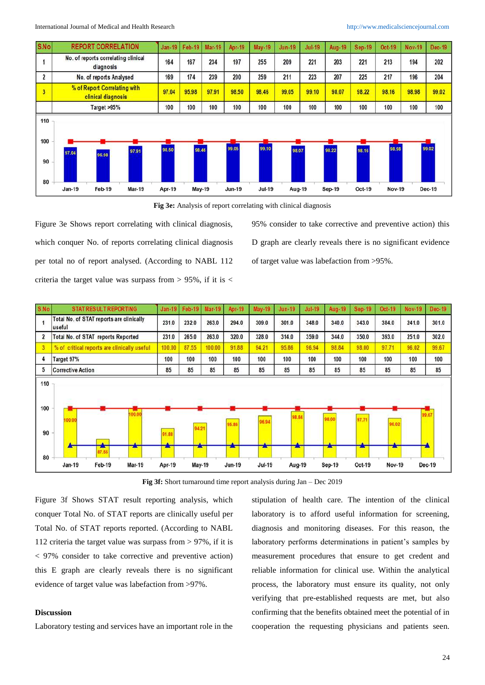International Journal of Medical and Health Research [http://www.medicalsciencejournal.com](http://www.medicalsciencejournal.com/)



**Fig 3e:** Analysis of report correlating with clinical diagnosis

Figure 3e Shows report correlating with clinical diagnosis, which conquer No. of reports correlating clinical diagnosis per total no of report analysed. (According to NABL 112 criteria the target value was surpass from  $> 95\%$ , if it is  $<$ 

95% consider to take corrective and preventive action) this D graph are clearly reveals there is no significant evidence of target value was labefaction from >95%.

| S.No                   | <b>STAT RESULT REPORTING</b>                       | Jan <sub>19</sub> | Feb-19 | <b>Mar-19</b> | Apr-19        | May-19                             | <b>Jun-19</b> | <b>Jul-19</b> | Aug-19                  | <b>Sep 19</b> | Oct 19        | <b>Nov-19</b> | Dec-19 |
|------------------------|----------------------------------------------------|-------------------|--------|---------------|---------------|------------------------------------|---------------|---------------|-------------------------|---------------|---------------|---------------|--------|
|                        | Total No. of STAT reports are clinically<br>useful | 231.0             | 232.0  | 263.0         | 294.0         | 309.0                              | 301.0         | 348.0         | 340.0                   | 343.0         | 384.0         | 241.0         | 301.0  |
| $\overline{2}$         | Total No. of STAT reports Reported                 | 231.0             | 265.0  | 263.0         | 320.0         | 328.0                              | 314.0         | 359.0         | 344.0                   | 350.0         | 393.0         | 251.0         | 302.0  |
| 3                      | % of critical reports are clinically useful        | 100.00            | 87.55  | 100.00        | 91.88         | 94.21                              | 95.86         | 96.94         | 98.84                   | 98.00         | 97.71         | 96.02         | 99.67  |
| 4                      | Target 97%                                         | 100               | 100    | 100           | 100           | 100                                | 100           | 100           | 100                     | 100           | 100           | 100           | 100    |
| 5                      | <b>Corrective Action</b>                           | 85                | 85     | 85            | 85            | 85                                 | 85            | 85            | 85                      | 85            | 85            | 85            | 85     |
| 110<br>100<br>90<br>80 | 100.00<br>00.00<br>$\Delta$<br>٠<br>25<br>87.55    | 91.88<br>×        | 94.21  |               | 95.86         | 96.94<br><b>The Second Service</b> | 98.84         |               | 98.00<br>$\blacksquare$ | 97.71         | 96.02         |               | 99.67  |
|                        | Feb-19<br>Jan-19<br><b>Mar-19</b>                  | Apr-19            | May-19 |               | <b>Jun-19</b> | <b>Jul-19</b>                      | Aug-19        |               | Sep-19                  | Oct-19        | <b>Nov-19</b> |               | Dec-19 |

**Fig 3f:** Short turnaround time report analysis during Jan – Dec 2019

Figure 3f Shows STAT result reporting analysis, which conquer Total No. of STAT reports are clinically useful per Total No. of STAT reports reported. (According to NABL 112 criteria the target value was surpass from > 97%, if it is < 97% consider to take corrective and preventive action) this E graph are clearly reveals there is no significant evidence of target value was labefaction from >97%.

## **Discussion**

Laboratory testing and services have an important role in the

stipulation of health care. The intention of the clinical laboratory is to afford useful information for screening, diagnosis and monitoring diseases. For this reason, the laboratory performs determinations in patient's samples by measurement procedures that ensure to get credent and reliable information for clinical use. Within the analytical process, the laboratory must ensure its quality, not only verifying that pre-established requests are met, but also confirming that the benefits obtained meet the potential of in cooperation the requesting physicians and patients seen.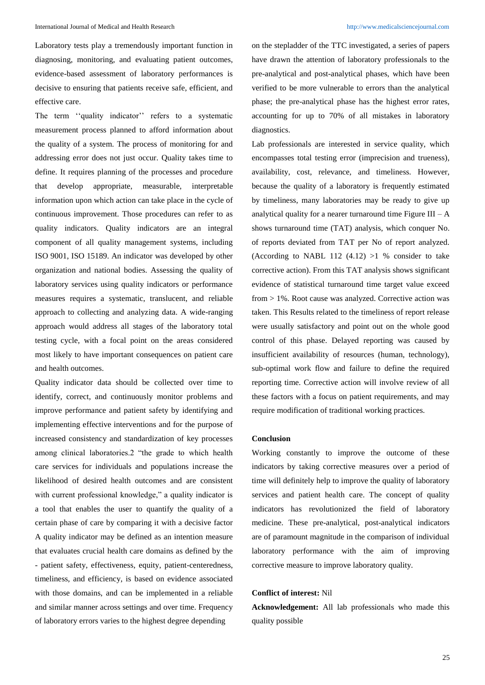Laboratory tests play a tremendously important function in diagnosing, monitoring, and evaluating patient outcomes, evidence-based assessment of laboratory performances is decisive to ensuring that patients receive safe, efficient, and effective care.

The term "quality indicator" refers to a systematic measurement process planned to afford information about the quality of a system. The process of monitoring for and addressing error does not just occur. Quality takes time to define. It requires planning of the processes and procedure that develop appropriate, measurable, interpretable information upon which action can take place in the cycle of continuous improvement. Those procedures can refer to as quality indicators. Quality indicators are an integral component of all quality management systems, including ISO 9001, ISO 15189. An indicator was developed by other organization and national bodies. Assessing the quality of laboratory services using quality indicators or performance measures requires a systematic, translucent, and reliable approach to collecting and analyzing data. A wide-ranging approach would address all stages of the laboratory total testing cycle, with a focal point on the areas considered most likely to have important consequences on patient care and health outcomes.

Quality indicator data should be collected over time to identify, correct, and continuously monitor problems and improve performance and patient safety by identifying and implementing effective interventions and for the purpose of increased consistency and standardization of key processes among clinical laboratories.2 "the grade to which health care services for individuals and populations increase the likelihood of desired health outcomes and are consistent with current professional knowledge," a quality indicator is a tool that enables the user to quantify the quality of a certain phase of care by comparing it with a decisive factor A quality indicator may be defined as an intention measure that evaluates crucial health care domains as defined by the - patient safety, effectiveness, equity, patient-centeredness, timeliness, and efficiency, is based on evidence associated with those domains, and can be implemented in a reliable and similar manner across settings and over time. Frequency of laboratory errors varies to the highest degree depending

on the stepladder of the TTC investigated, a series of papers have drawn the attention of laboratory professionals to the pre-analytical and post-analytical phases, which have been verified to be more vulnerable to errors than the analytical phase; the pre-analytical phase has the highest error rates, accounting for up to 70% of all mistakes in laboratory diagnostics.

Lab professionals are interested in service quality, which encompasses total testing error (imprecision and trueness), availability, cost, relevance, and timeliness. However, because the quality of a laboratory is frequently estimated by timeliness, many laboratories may be ready to give up analytical quality for a nearer turnaround time Figure  $III - A$ shows turnaround time (TAT) analysis, which conquer No. of reports deviated from TAT per No of report analyzed. (According to NABL 112  $(4.12) >1$  % consider to take corrective action). From this TAT analysis shows significant evidence of statistical turnaround time target value exceed from > 1%. Root cause was analyzed. Corrective action was taken. This Results related to the timeliness of report release were usually satisfactory and point out on the whole good control of this phase. Delayed reporting was caused by insufficient availability of resources (human, technology), sub-optimal work flow and failure to define the required reporting time. Corrective action will involve review of all these factors with a focus on patient requirements, and may require modification of traditional working practices.

#### **Conclusion**

Working constantly to improve the outcome of these indicators by taking corrective measures over a period of time will definitely help to improve the quality of laboratory services and patient health care. The concept of quality indicators has revolutionized the field of laboratory medicine. These pre-analytical, post-analytical indicators are of paramount magnitude in the comparison of individual laboratory performance with the aim of improving corrective measure to improve laboratory quality.

### **Conflict of interest:** Nil

**Acknowledgement:** All lab professionals who made this quality possible